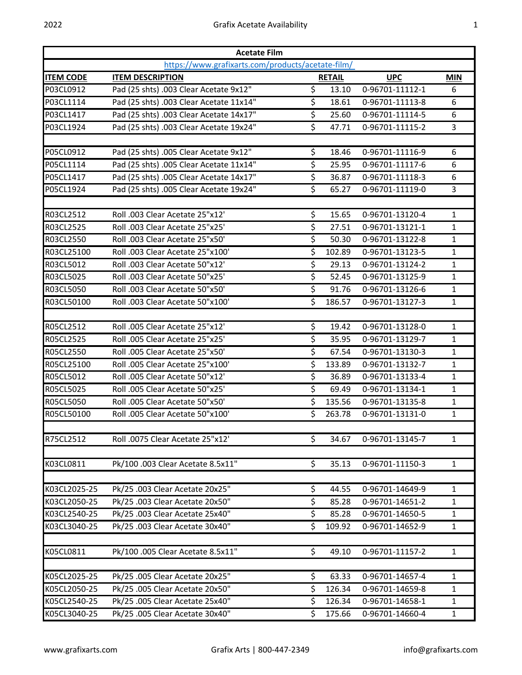| <b>Acetate Film</b> |                                                   |    |               |                 |              |  |  |  |
|---------------------|---------------------------------------------------|----|---------------|-----------------|--------------|--|--|--|
|                     | https://www.grafixarts.com/products/acetate-film/ |    |               |                 |              |  |  |  |
| <b>ITEM CODE</b>    | <b>ITEM DESCRIPTION</b>                           |    | <b>RETAIL</b> | <b>UPC</b>      | <b>MIN</b>   |  |  |  |
| P03CL0912           | Pad (25 shts) .003 Clear Acetate 9x12"            | \$ | 13.10         | 0-96701-11112-1 | 6            |  |  |  |
| P03CL1114           | Pad (25 shts) .003 Clear Acetate 11x14"           | \$ | 18.61         | 0-96701-11113-8 | 6            |  |  |  |
| P03CL1417           | Pad (25 shts) .003 Clear Acetate 14x17"           | \$ | 25.60         | 0-96701-11114-5 | 6            |  |  |  |
| P03CL1924           | Pad (25 shts) .003 Clear Acetate 19x24"           | \$ | 47.71         | 0-96701-11115-2 | 3            |  |  |  |
| P05CL0912           | Pad (25 shts) .005 Clear Acetate 9x12"            | \$ | 18.46         | 0-96701-11116-9 | 6            |  |  |  |
| P05CL1114           | Pad (25 shts) .005 Clear Acetate 11x14"           | \$ | 25.95         | 0-96701-11117-6 | 6            |  |  |  |
| P05CL1417           | Pad (25 shts) .005 Clear Acetate 14x17"           | \$ | 36.87         | 0-96701-11118-3 | 6            |  |  |  |
| P05CL1924           | Pad (25 shts) .005 Clear Acetate 19x24"           | \$ | 65.27         | 0-96701-11119-0 | 3            |  |  |  |
|                     |                                                   |    |               |                 |              |  |  |  |
| R03CL2512           | Roll .003 Clear Acetate 25"x12"                   | \$ | 15.65         | 0-96701-13120-4 | $\mathbf{1}$ |  |  |  |
| R03CL2525           | Roll .003 Clear Acetate 25"x25'                   | \$ | 27.51         | 0-96701-13121-1 | $\mathbf{1}$ |  |  |  |
| R03CL2550           | Roll .003 Clear Acetate 25"x50'                   | \$ | 50.30         | 0-96701-13122-8 | $\mathbf{1}$ |  |  |  |
| R03CL25100          | Roll .003 Clear Acetate 25"x100'                  | \$ | 102.89        | 0-96701-13123-5 | $\mathbf{1}$ |  |  |  |
| R03CL5012           | Roll .003 Clear Acetate 50"x12"                   | \$ | 29.13         | 0-96701-13124-2 | $\mathbf{1}$ |  |  |  |
| R03CL5025           | Roll .003 Clear Acetate 50"x25'                   | \$ | 52.45         | 0-96701-13125-9 | $\mathbf{1}$ |  |  |  |
| R03CL5050           | Roll .003 Clear Acetate 50"x50"                   | \$ | 91.76         | 0-96701-13126-6 | $\mathbf{1}$ |  |  |  |
| R03CL50100          | Roll .003 Clear Acetate 50"x100'                  | \$ | 186.57        | 0-96701-13127-3 | $\mathbf{1}$ |  |  |  |
| R05CL2512           | Roll .005 Clear Acetate 25"x12"                   | \$ | 19.42         | 0-96701-13128-0 | $\mathbf{1}$ |  |  |  |
| R05CL2525           | Roll .005 Clear Acetate 25"x25'                   | \$ | 35.95         | 0-96701-13129-7 | $\mathbf{1}$ |  |  |  |
| R05CL2550           | Roll .005 Clear Acetate 25"x50"                   | \$ | 67.54         | 0-96701-13130-3 | 1            |  |  |  |
| R05CL25100          | Roll .005 Clear Acetate 25"x100'                  | \$ | 133.89        | 0-96701-13132-7 | 1            |  |  |  |
| R05CL5012           | Roll .005 Clear Acetate 50"x12"                   | \$ | 36.89         | 0-96701-13133-4 | $\mathbf{1}$ |  |  |  |
| R05CL5025           | Roll .005 Clear Acetate 50"x25'                   | \$ | 69.49         | 0-96701-13134-1 | $\mathbf{1}$ |  |  |  |
| <b>R05CL5050</b>    | Roll .005 Clear Acetate 50"x50"                   | \$ | 135.56        | 0-96701-13135-8 | $\mathbf{1}$ |  |  |  |
| R05CL50100          | Roll .005 Clear Acetate 50"x100'                  | \$ | 263.78        | 0-96701-13131-0 | 1            |  |  |  |
| R75CL2512           |                                                   |    |               |                 |              |  |  |  |
|                     | Roll .0075 Clear Acetate 25"x12'                  | \$ | 34.67         | 0-96701-13145-7 | 1            |  |  |  |
| K03CL0811           | Pk/100 .003 Clear Acetate 8.5x11"                 | \$ | 35.13         | 0-96701-11150-3 | $\mathbf{1}$ |  |  |  |
|                     |                                                   |    |               |                 |              |  |  |  |
| K03CL2025-25        | Pk/25.003 Clear Acetate 20x25"                    | \$ | 44.55         | 0-96701-14649-9 | $\mathbf{1}$ |  |  |  |
| K03CL2050-25        | Pk/25.003 Clear Acetate 20x50"                    | \$ | 85.28         | 0-96701-14651-2 | $\mathbf{1}$ |  |  |  |
| K03CL2540-25        | Pk/25 .003 Clear Acetate 25x40"                   | \$ | 85.28         | 0-96701-14650-5 | $\mathbf{1}$ |  |  |  |
| K03CL3040-25        | Pk/25 .003 Clear Acetate 30x40"                   | \$ | 109.92        | 0-96701-14652-9 | $\mathbf{1}$ |  |  |  |
| K05CL0811           | Pk/100 .005 Clear Acetate 8.5x11"                 | \$ | 49.10         | 0-96701-11157-2 | $\mathbf{1}$ |  |  |  |
|                     |                                                   |    |               |                 |              |  |  |  |
| K05CL2025-25        | Pk/25 .005 Clear Acetate 20x25"                   | \$ | 63.33         | 0-96701-14657-4 | 1            |  |  |  |
| K05CL2050-25        | Pk/25 .005 Clear Acetate 20x50"                   | \$ | 126.34        | 0-96701-14659-8 | $\mathbf{1}$ |  |  |  |
| K05CL2540-25        | Pk/25 .005 Clear Acetate 25x40"                   | \$ | 126.34        | 0-96701-14658-1 | $\mathbf{1}$ |  |  |  |
| K05CL3040-25        | Pk/25 .005 Clear Acetate 30x40"                   | \$ | 175.66        | 0-96701-14660-4 | $\mathbf{1}$ |  |  |  |
|                     |                                                   |    |               |                 |              |  |  |  |